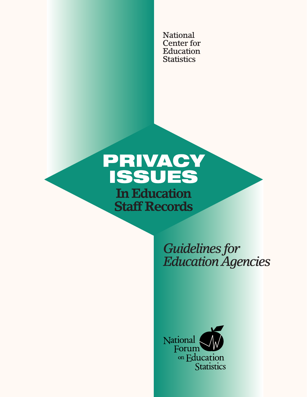National **Center for** Education **Statistics** 

# PRIVACY **ISSUES In Education Staff Records**

**Guidelines for Education Agencies** 

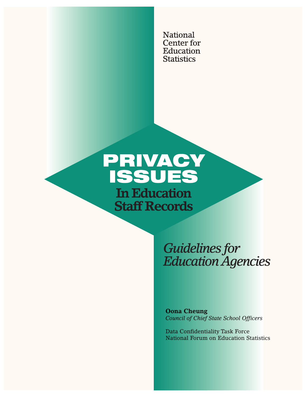National **Center for** Education **Statistics** 

# PRIVACY **ISSUES In Education Staff Records**

**Guidelines for Education Agencies** 

**Oona Cheung** *Council of Chief State School Officers*

Data Confidentiality Task Force National Forum on Education Statistics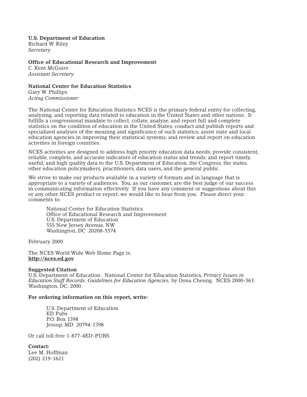**U.S. Department of Education** Richard W. Riley *Secretary*

**Office of Educational Research and Improvement** C. Kent McGuire *Assistant Secretary*

#### **National Center for Education Statistics**

Gary W. Phillips *Acting Commissioner*

The National Center for Education Statistics NCES is the primary federal entity for collecting, analyzing, and reporting data related to education in the United States and other nations. It fulfills a congressional mandate to collect, collate, analyze, and report full and complete statistics on the condition of education in the United States; conduct and publish reports and specialized analyses of the meaning and significance of such statistics; assist state and local education agencies in improving their statistical systems; and review and report on education activities in foreign countries.

NCES activities are designed to address high priority education data needs; provide consistent, reliable, complete, and accurate indicators of education status and trends; and report timely, useful, and high quality data to the U.S. Department of Education, the Congress, the states, other education policymakers, practitioners, data users, and the general public.

We strive to make our products available in a variety of formats and in language that is appropriate to a variety of audiences. You, as our customer, are the best judge of our success in communicating information effectively. If you have any comment or suggestions about this or any other NCES product or report, we would like to hear from you. Please direct your comments to:

National Center for Education Statistics Office of Educational Research and Improvement U.S. Department of Education 555 New Jersey Avenue, NW Washington, DC 20208-5574

February 2000

The NCES World Wide Web Home Page is: **http://nces.ed.gov**

#### **Suggested Citation**

U.S. Department of Education. National Center for Education Statistics*, Privacy Issues in Education Staff Records: Guidelines for Education Agencies,* by Oona Cheung. NCES 2000-363. Washington, DC: 2000.

#### **For ordering information on this report, write:**

U.S. Department of Education ED Pubs P.O. Box 1398 Jessup, MD 20794-1398

Or call toll free 1-877-4ED-PUBS

**Contact:** Lee M. Hoffman (202) 219-1621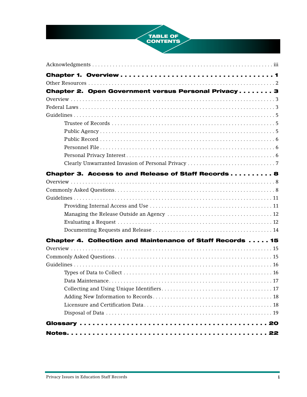

| Chapter 2. Open Government versus Personal Privacy3        |
|------------------------------------------------------------|
|                                                            |
|                                                            |
|                                                            |
|                                                            |
|                                                            |
|                                                            |
|                                                            |
|                                                            |
|                                                            |
| Chapter 3. Access to and Release of Staff Records  8       |
|                                                            |
|                                                            |
|                                                            |
|                                                            |
|                                                            |
|                                                            |
|                                                            |
| Chapter 4. Collection and Maintenance of Staff Records  15 |
|                                                            |
|                                                            |
|                                                            |
|                                                            |
|                                                            |
|                                                            |
|                                                            |
|                                                            |
|                                                            |
|                                                            |
|                                                            |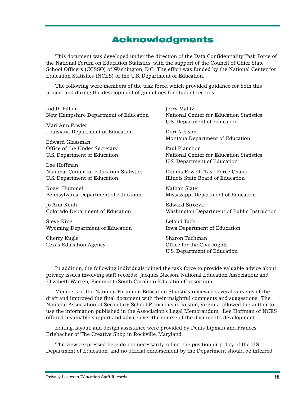# **Acknowledgments**

This document was developed under the direction of the Data Confidentiality Task Force of the National Forum on Education Statistics, with the support of the Council of Chief State School Officers (CCSSO) of Washington, D.C.. The effort was funded by the National Center for Education Statistics (NCES) of the U.S. Department of Education.

The following were members of the task force, which provided guidance for both this project and during the development of guidelines for student records:

Judith Fillion New Hampshire Department of Education

Mari Ann Fowler Louisiana Department of Education

Edward Glassman Office of the Under Secretary U.S. Department of Education

Lee Hoffman National Center for Education Statistics U.S. Department of Education

Roger Hummel Pennsylvania Department of Education

Jo Ann Keith Colorado Department of Education

Steve King Wyoming Department of Education

Cherry Kugle Texas Education Agency Jerry Malitz National Center for Education Statistics U.S. Department of Education

Dori Nielson Montana Department of Education

Paul Planchon National Center for Education Statistics U.S. Department of Education

Dennis Powell (Task Force Chair) Illinois State Board of Education

Nathan Slater Mississippi Department of Education

Edward Strozyk Washington Department of Public Instruction

Leland Tack Iowa Department of Education

Sharon Tuchman Office for the Civil Rights U.S. Department of Education

In addition, the following individuals joined the task force to provide valuable advice about privacy issues involving staff records: Jacques Nacson, National Education Association; and Elizabeth Warren, Piedmont (South Carolina) Education Consortium.

Members of the National Forum on Education Statistics reviewed several versions of the draft and improved the final document with their insightful comments and suggestions. The National Association of Secondary School Principals in Reston, Virginia, allowed the author to use the information published in the Association's Legal Memorandum. Lee Hoffman of NCES offered invaluable support and advice over the course of the document's development.

Editing, layout, and design assistance were provided by Denis Lipman and Frances Erlebacher of The Creative Shop in Rockville, Maryland.

The views expressed here do not necessarily reflect the position or policy of the U.S. Department of Education, and no official endorsement by the Department should be inferred.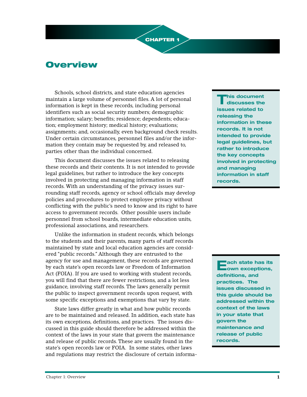# **Overview**

Schools, school districts, and state education agencies maintain a large volume of personnel files. A lot of personal information is kept in these records, including personal identifiers such as social security numbers; demographic information; salary; benefits; residence; dependents; education; employment history; medical history; evaluations; assignments; and, occasionally, even background check results. Under certain circumstances, personnel files and/or the information they contain may be requested by, and released to, parties other than the individual concerned.

**CHAPTER 1** 

This document discusses the issues related to releasing these records and their contents. It is not intended to provide legal guidelines, but rather to introduce the key concepts involved in protecting and managing information in staff records. With an understanding of the privacy issues surrounding staff records, agency or school officials may develop policies and procedures to protect employee privacy without conflicting with the public's need to know and its right to have access to government records. Other possible users include personnel from school boards, intermediate education units, professional associations, and researchers.

Unlike the information in student records, which belongs to the students and their parents, many parts of staff records maintained by state and local education agencies are considered "public records." Although they are entrusted to the agency for use and management, these records are governed by each state's open records law or Freedom of Information Act (FOIA). If you are used to working with student records, you will find that there are fewer restrictions, and a lot less guidance, involving staff records. The laws generally permit the public to inspect government records upon request, with some specific exceptions and exemptions that vary by state.

State laws differ greatly in what and how public records are to be maintained and released. In addition, each state has its own exceptions, definitions, and practices. The issues discussed in this guide should therefore be addressed within the context of the laws in your state that govern the maintenance and release of public records. These are usually found in the state's open records law or FOIA. In some states, other laws and regulations may restrict the disclosure of certain informa-

**This document discusses the issues related to releasing the information in these records. It is not intended to provide legal guidelines, but rather to introduce the key concepts involved in protecting and managing information in staff records.**

**Each state has its own exceptions, definitions, and practices. The issues discussed in this guide should be addressed within the context of the laws in your state that govern the maintenance and release of public records.**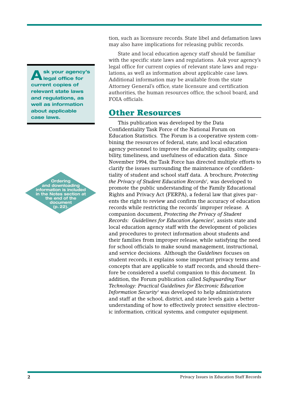**Ask your agency's legal office for current copies of relevant state laws and regulations, as well as information about applicable case laws.**



tion, such as licensure records. State libel and defamation laws may also have implications for releasing public records.

State and local education agency staff should be familiar with the specific state laws and regulations. Ask your agency's legal office for current copies of relevant state laws and regulations, as well as information about applicable case laws. Additional information may be available from the state Attorney General's office, state licensure and certification authorities, the human resources office, the school board, and FOIA officials.

### **Other Resources**

This publication was developed by the Data Confidentiality Task Force of the National Forum on Education Statistics. The Forum is a cooperative system combining the resources of federal, state, and local education agency personnel to improve the availability, quality, comparability, timeliness, and usefulness of education data. Since November 1994, the Task Force has directed multiple efforts to clarify the issues surrounding the maintenance of confidentiality of student and school staff data. A brochure, *Protecting the Privacy of Student Education Records1 ,* was developed to promote the public understanding of the Family Educational Rights and Privacy Act (FERPA), a federal law that gives parents the right to review and confirm the accuracy of education records while restricting the records' improper release. A companion document, *Protecting the Privacy of Student* Records: Guidelines for Education Agencies<sup>2</sup>, assists state and local education agency staff with the development of policies and procedures to protect information about students and their families from improper release, while satisfying the need for school officials to make sound management, instructional, and service decisions. Although the *Guidelines* focuses on student records, it explains some important privacy terms and concepts that are applicable to staff records, and should therefore be considered a useful companion to this document. In addition, the Forum publication called *Safeguarding Your Technology: Practical Guidelines for Electronic Education Information Security3* was developed to help administrators and staff at the school, district, and state levels gain a better understanding of how to effectively protect sensitive electronic information, critical systems, and computer equipment.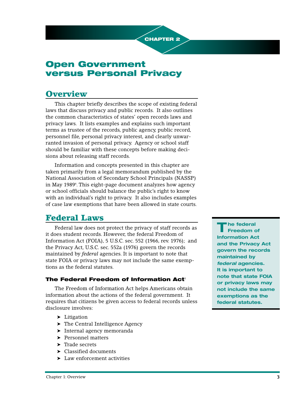

# **Open Government versus Personal Privacy**

## **Overview**

This chapter briefly describes the scope of existing federal laws that discuss privacy and public records. It also outlines the common characteristics of states' open records laws and privacy laws. It lists examples and explains such important terms as trustee of the records, public agency, public record, personnel file, personal privacy interest, and clearly unwarranted invasion of personal privacy. Agency or school staff should be familiar with these concepts before making decisions about releasing staff records.

Information and concepts presented in this chapter are taken primarily from a legal memorandum published by the National Association of Secondary School Principals (NASSP) in May 19894 . This eight-page document analyzes how agency or school officials should balance the public's right to know with an individual's right to privacy. It also includes examples of case law exemptions that have been allowed in state courts.

## **Federal Laws**

Federal law does not protect the privacy of staff records as it does student records. However, the federal Freedom of Information Act (FOIA), 5 U.S.C. sec. 552 (1966, rev. 1976); and the Privacy Act, U.S.C. sec. 552a (1976) govern the records maintained by *federal* agencies. It is important to note that state FOIA or privacy laws may not include the same exemptions as the federal statutes.

### **The Federal Freedom of Information Act**<sup>5</sup>

The Freedom of Information Act helps Americans obtain information about the actions of the federal government. It requires that citizens be given access to federal records unless disclosure involves:

- ➤ Litigation
- ➤ The Central Intelligence Agency
- ➤ Internal agency memoranda
- ➤ Personnel matters
- ➤ Trade secrets
- ➤ Classified documents
- ➤ Law enforcement activities

**T he federal Freedom of Information Act and the Privacy Act govern the records maintained by federal agencies. It is important to note that state FOIA or privacy laws may not include the same exemptions as the federal statutes.**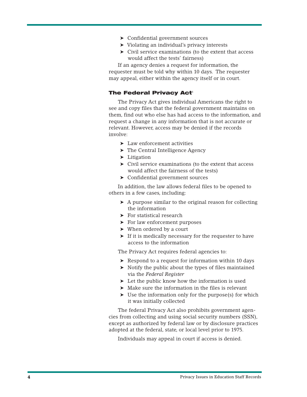- ➤ Confidential government sources
- ➤ Violating an individual's privacy interests
- ➤ Civil service examinations (to the extent that access would affect the tests' fairness)

If an agency denies a request for information, the requester must be told why within 10 days. The requester may appeal, either within the agency itself or in court.

#### **The Federal Privacy Act<sup>6</sup>**

The Privacy Act gives individual Americans the right to see and copy files that the federal government maintains on them, find out who else has had access to the information, and request a change in any information that is not accurate or relevant. However, access may be denied if the records involve:

- ➤ Law enforcement activities
- ➤ The Central Intelligence Agency
- ➤ Litigation
- ➤ Civil service examinations (to the extent that access would affect the fairness of the tests)
- ➤ Confidential government sources

In addition, the law allows federal files to be opened to others in a few cases, including:

- ➤ A purpose similar to the original reason for collecting the information
- ➤ For statistical research
- ➤ For law enforcement purposes
- ➤ When ordered by a court
- ➤ If it is medically necessary for the requester to have access to the information

The Privacy Act requires federal agencies to:

- ➤ Respond to a request for information within 10 days
- ➤ Notify the public about the types of files maintained via the *Federal Register*
- ➤ Let the public know how the information is used
- $\blacktriangleright$  Make sure the information in the files is relevant
- ➤ Use the information only for the purpose(s) for which it was initially collected

The federal Privacy Act also prohibits government agencies from collecting and using social security numbers (SSN), except as authorized by federal law or by disclosure practices adopted at the federal, state, or local level prior to 1975.

Individuals may appeal in court if access is denied.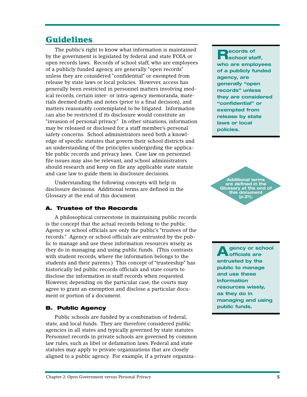## **Guidelines**

The public's right to know what information is maintained by the government is legislated by federal and state FOIA or open records laws. Records of school staff, who are employees of a publicly funded agency, are generally "open records" unless they are considered "confidential" or exempted from release by state laws or local policies. However, access has generally been restricted in personnel matters involving medical records, certain inter- or intra-agency memoranda, materials deemed drafts and notes (prior to a final decision), and matters reasonably contemplated to be litigated. Information can also be restricted if its disclosure would constitute an "invasion of personal privacy." In other situations, information may be released or disclosed for a staff member's personal safety concerns. School administrators need both a knowledge of specific statutes that govern their school districts and an understanding of the principles undergirding the applicable public records and privacy laws. Case law on personnel file issues may also be relevant, and school administrators should research and keep on file any applicable state statute and case law to guide them in disclosure decisions.

Understanding the following concepts will help in disclosure decisions. Additional terms are defined in the Glossary at the end of this document.

### **A. Trustee of the Records**

A philosophical cornerstone in maintaining public records is the concept that the actual records belong to the public. Agency or school officials are only the public's "trustees of the records." Agency or school officials are entrusted by the public to manage and use these information resources wisely, as they do in managing and using public funds. (This contrasts with student records, where the information belongs to the students and their parents.) This concept of "trusteeship" has historically led public records officials and state courts to disclose the information in staff records when requested. However, depending on the particular case, the courts may agree to grant an exemption and disclose a particular document or portion of a document.

### **B. Public Agency**

Public schools are funded by a combination of federal, state, and local funds. They are therefore considered public agencies in all states and typically governed by state statutes. Personnel records in private schools are governed by common law rules, such as libel or defamation laws. Federal and state statutes may apply to private organizations that are closely aligned to a public agency. For example, if a private organiza-

**Records of school staff, who are employees of a publicly funded agency, are generally "open records" unless they are considered "confidential" or exempted from release by state laws or local policies.**

**Additional terms are defined in the Glossary at the end of this document (p.21).**

**A** gency or school **officials are entrusted by the public to manage and use these information resources wisely, as they do in managing and using public funds.**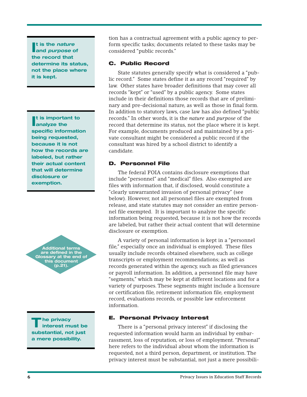If is the *nature*<br>and *purpose* of **t is the nature the record that determine its status, not the place where it is kept.**

**I** t is importar analyze the **t is important to specific information being requested, because it is not how the records are labeled, but rather their actual content that will determine disclosure or exemption.**



**T he privacy interest must be substantial, not just a mere possibility.**

tion has a contractual agreement with a public agency to perform specific tasks; documents related to these tasks may be considered "public records."

#### **C. Public Record**

State statutes generally specify what is considered a "public record." Some states define it as any record "required" by law. Other states have broader definitions that may cover all records "kept" or "used" by a public agency. Some states include in their definitions those records that are of preliminary and pre-decisional nature, as well as those in final form. In addition to statutory laws, case law has also defined "public records." In other words, it is the *nature* and *purpose* of the record that determine its status, not the place where it is kept. For example, documents produced and maintained by a private consultant might be considered a public record if the consultant was hired by a school district to identify a candidate.

#### **D. Personnel File**

The federal FOIA contains disclosure exemptions that include "personnel" and "medical" files. Also exempted are files with information that, if disclosed, would constitute a "clearly unwarranted invasion of personal privacy" (see below). However, not all personnel files are exempted from release, and state statutes may not consider an entire personnel file exempted. It is important to analyze the specific information being requested, because it is not how the records are labeled, but rather their actual content that will determine disclosure or exemption.

A variety of personal information is kept in a "personnel file," especially once an individual is employed. These files usually include records obtained elsewhere, such as college transcripts or employment recommendations; as well as records generated within the agency, such as filed grievances or payroll information. In addition, a personnel file may have "segments," which may be kept at different locations and for a variety of purposes. These segments might include a licensure or certification file, retirement information file, employment record, evaluations records, or possible law enforcement information.

#### **E. Personal Privacy Interest**

There is a "personal privacy interest" if disclosing the requested information would harm an individual by embarrassment, loss of reputation, or loss of employment. "Personal" here refers to the individual about whom the information is requested, not a third person, department, or institution. The privacy interest must be substantial, not just a mere possibili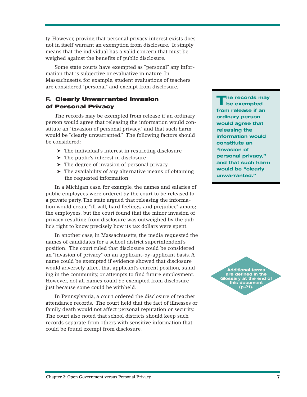ty. However, proving that personal privacy interest exists does not in itself warrant an exemption from disclosure. It simply means that the individual has a valid concern that must be weighed against the benefits of public disclosure.

Some state courts have exempted as "personal" any information that is subjective or evaluative in nature. In Massachusetts, for example, student evaluations of teachers are considered "personal" and exempt from disclosure.

### **F. Clearly Unwarranted Invasion of Personal Privacy**

The records may be exempted from release if an ordinary person would agree that releasing the information would constitute an "invasion of personal privacy," and that such harm would be "clearly unwarranted." The following factors should be considered:

- ➤ The individual's interest in restricting disclosure
- ➤ The public's interest in disclosure
- ➤ The degree of invasion of personal privacy
- ➤ The availability of any alternative means of obtaining the requested information

In a Michigan case, for example, the names and salaries of public employees were ordered by the court to be released to a private party. The state argued that releasing the information would create "ill will, hard feelings, and prejudice" among the employees, but the court found that the minor invasion of privacy resulting from disclosure was outweighed by the public's right to know precisely how its tax dollars were spent.

In another case, in Massachusetts, the media requested the names of candidates for a school district superintendent's position. The court ruled that disclosure could be considered an "invasion of privacy" on an applicant-by-applicant basis. A name could be exempted if evidence showed that disclosure would adversely affect that applicant's current position, standing in the community, or attempts to find future employment. However, not all names could be exempted from disclosure just because some could be withheld.

In Pennsylvania, a court ordered the disclosure of teacher attendance records. The court held that the fact of illnesses or family death would not affect personal reputation or security. The court also noted that school districts should keep such records separate from others with sensitive information that could be found exempt from disclosure.

**The records may be exempted from release if an ordinary person would agree that releasing the information would constitute an "invasion of personal privacy," and that such harm would be "clearly unwarranted."**

**Additional terms are defined in the Glossary at the end of this document (p.21).**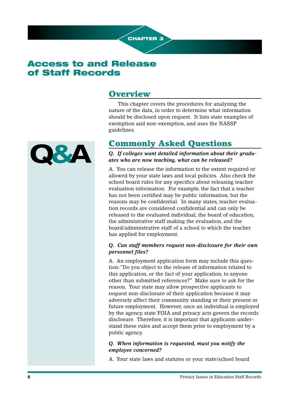

# **Access to and Release of Staff Records**

### **Overview**

This chapter covers the procedures for analyzing the nature of the data, in order to determine what information should be disclosed upon request. It lists state examples of exemption and non-exemption, and uses the NASSP guidelines.

# **Commonly Asked Questions**

*Q. If colleges want detailed information about their graduates who are now teaching, what can be released?*

A. You can release the information to the extent required or allowed by your state laws and local policies. Also check the school board rules for any specifics about releasing teacher evaluation information. For example, the fact that a teacher has not been certified may be public information, but the reasons may be confidential. In many states, teacher evaluation records are considered confidential and can only be released to the evaluated individual, the board of education, the administrative staff making the evaluation, and the board/administrative staff of a school to which the teacher has applied for employment.

### *Q. Can staff members request non-disclosure for their own personnel files?*

A. An employment application form may include this question: "Do you object to the release of information related to this application, or the fact of your application, to anyone other than submitted references?" Make sure to ask for the reason. Your state may allow prospective applicants to request non-disclosure of their application because it may adversely affect their community standing or their present or future employment. However, once an individual is employed by the agency, state FOIA and privacy acts govern the records disclosure. Therefore, it is important that applicants understand these rules and accept them prior to employment by a public agency.

#### *Q. When information is requested, must you notify the employee concerned?*

A. Your state laws and statutes or your state/school board

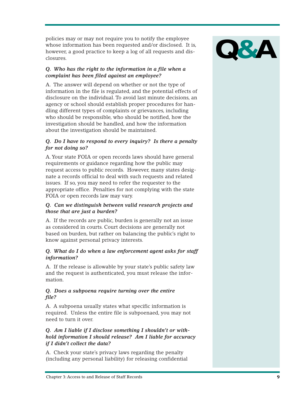policies may or may not require you to notify the employee whose information has been requested and/or disclosed. It is, however, a good practice to keep a log of all requests and disclosures.

### *Q. Who has the right to the information in a file when a complaint has been filed against an employee?*

A. The answer will depend on whether or not the type of information in the file is regulated, and the potential effects of disclosure on the individual. To avoid last minute decisions, an agency or school should establish proper procedures for handling different types of complaints or grievances, including who should be responsible, who should be notified, how the investigation should be handled, and how the information about the investigation should be maintained.

### *Q. Do I have to respond to every inquiry? Is there a penalty for not doing so?*

A. Your state FOIA or open records laws should have general requirements or guidance regarding how the public may request access to public records. However, many states designate a records official to deal with such requests and related issues. If so, you may need to refer the requester to the appropriate office. Penalties for not complying with the state FOIA or open records law may vary.

#### *Q. Can we distinguish between valid research projects and those that are just a burden?*

A. If the records are public, burden is generally not an issue as considered in courts. Court decisions are generally not based on burden, but rather on balancing the public's right to know against personal privacy interests.

### *Q. What do I do when a law enforcement agent asks for staff information?*

A. If the release is allowable by your state's public safety law and the request is authenticated, you must release the information.

#### *Q. Does a subpoena require turning over the entire file?*

A. A subpoena usually states what specific information is required. Unless the entire file is subpoenaed, you may not need to turn it over.

### *Q. Am I liable if I disclose something I shouldn't or withhold information I should release? Am I liable for accuracy if I didn't collect the data?*

A. Check your state's privacy laws regarding the penalty (including any personal liability) for releasing confidential

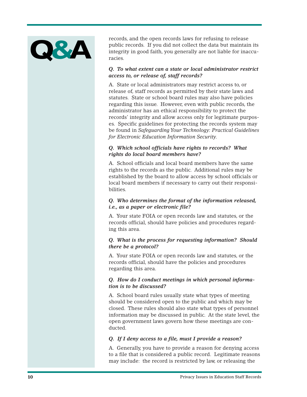

records, and the open records laws for refusing to release public records. If you did not collect the data but maintain its integrity in good faith, you generally are not liable for inaccuracies.

#### *Q. To what extent can a state or local administrator restrict access to, or release of, staff records?*

A. State or local administrators may restrict access to, or release of, staff records as permitted by their state laws and statutes. State or school board rules may also have policies regarding this issue. However, even with public records, the administrator has an ethical responsibility to protect the records' integrity and allow access only for legitimate purposes. Specific guidelines for protecting the records system may be found in *Safeguarding Your Technology: Practical Guidelines for Electronic Education Information Security.*

#### *Q. Which school officials have rights to records? What rights do local board members have?*

A. School officials and local board members have the same rights to the records as the public. Additional rules may be established by the board to allow access by school officials or local board members if necessary to carry out their responsibilities.

#### *Q. Who determines the format of the information released, i.e., as a paper or electronic file?*

A. Your state FOIA or open records law and statutes, or the records official, should have policies and procedures regarding this area.

#### *Q. What is the process for requesting information? Should there be a protocol?*

A. Your state FOIA or open records law and statutes, or the records official, should have the policies and procedures regarding this area.

#### *Q. How do I conduct meetings in which personal information is to be discussed?*

A. School board rules usually state what types of meeting should be considered open to the public and which may be closed. These rules should also state what types of personnel information may be discussed in public. At the state level, the open government laws govern how these meetings are conducted.

#### *Q. If I deny access to a file, must I provide a reason?*

A. Generally, you have to provide a reason for denying access to a file that is considered a public record. Legitimate reasons may include: the record is restricted by law, or releasing the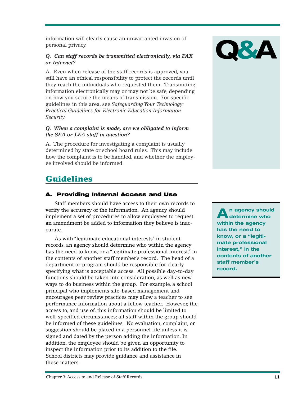information will clearly cause an unwarranted invasion of personal privacy.

#### *Q. Can staff records be transmitted electronically, via FAX or Internet?*

A. Even when release of the staff records is approved, you still have an ethical responsibility to protect the records until they reach the individuals who requested them. Transmitting information electronically may or may not be safe, depending on how you secure the means of transmission. For specific guidelines in this area, see *Safeguarding Your Technology: Practical Guidelines for Electronic Education Information Security.*

#### *Q. When a complaint is made, are we obligated to inform the SEA or LEA staff in question?*

A. The procedure for investigating a complaint is usually determined by state or school board rules. This may include how the complaint is to be handled, and whether the employee involved should be informed.

# **Guidelines**

### **A. Providing Internal Access and Use**

Staff members should have access to their own records to verify the accuracy of the information. An agency should implement a set of procedures to allow employees to request an amendment be added to information they believe is inaccurate.

As with "legitimate educational interests" in student records, an agency should determine who within the agency has the need to know, or a "legitimate professional interest," in the contents of another staff member's record. The head of a department or program should be responsible for clearly specifying what is acceptable access. All possible day-to-day functions should be taken into consideration, as well as new ways to do business within the group. For example, a school principal who implements site-based management and encourages peer review practices may allow a teacher to see performance information about a fellow teacher. However, the access to, and use of, this information should be limited to well-specified circumstances; all staff within the group should be informed of these guidelines. No evaluation, complaint, or suggestion should be placed in a personnel file unless it is signed and dated by the person adding the information. In addition, the employee should be given an opportunity to inspect the information prior to its addition to the file. School districts may provide guidance and assistance in these matters.



**An agency should determine who within the agency has the need to know, or a "legitimate professional interest," in the contents of another staff member's record.**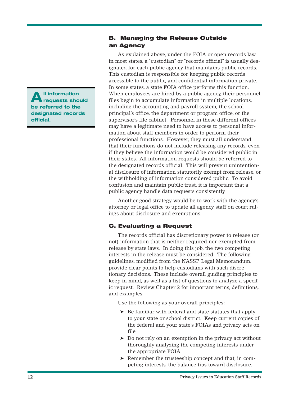**All information requests should be referred to the designated records official.**

#### **B. Managing the Release Outside an Agency**

As explained above, under the FOIA or open records law in most states, a "custodian" or "records official" is usually designated for each public agency that maintains public records. This custodian is responsible for keeping public records accessible to the public, and confidential information private. In some states, a state FOIA office performs this function. When employees are hired by a public agency, their personnel files begin to accumulate information in multiple locations, including the accounting and payroll system, the school principal's office, the department or program office, or the supervisor's file cabinet. Personnel in these different offices may have a legitimate need to have access to personal information about staff members in order to perform their professional functions. However, they must all understand that their functions do not include releasing any records, even if they believe the information would be considered public in their states. All information requests should be referred to the designated records official. This will prevent unintentional disclosure of information statutorily exempt from release, or the withholding of information considered public. To avoid confusion and maintain public trust, it is important that a public agency handle data requests consistently.

Another good strategy would be to work with the agency's attorney or legal office to update all agency staff on court rulings about disclosure and exemptions.

### **C. Evaluating a Request**

The records official has discretionary power to release (or not) information that is neither required nor exempted from release by state laws. In doing this job, the two competing interests in the release must be considered. The following guidelines, modified from the NASSP Legal Memorandum, provide clear points to help custodians with such discretionary decisions. These include overall guiding principles to keep in mind, as well as a list of questions to analyze a specific request. Review Chapter 2 for important terms, definitions, and examples.

Use the following as your overall principles:

- ➤ Be familiar with federal and state statutes that apply to your state or school district. Keep current copies of the federal and your state's FOIAs and privacy acts on file.
- ➤ Do not rely on an exemption in the privacy act without thoroughly analyzing the competing interests under the appropriate FOIA.
- ➤ Remember the trusteeship concept and that, in competing interests, the balance tips toward disclosure.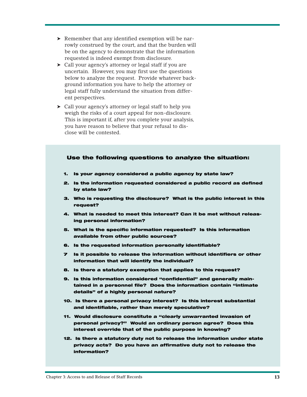- ➤ Remember that any identified exemption will be narrowly construed by the court, and that the burden will be on the agency to demonstrate that the information requested is indeed exempt from disclosure.
- ➤ Call your agency's attorney or legal staff if you are uncertain. However, you may first use the questions below to analyze the request. Provide whatever background information you have to help the attorney or legal staff fully understand the situation from different perspectives.
- ➤ Call your agency's attorney or legal staff to help you weigh the risks of a court appeal for non-disclosure. This is important if, after you complete your analysis, you have reason to believe that your refusal to disclose will be contested.

#### **Use the following questions to analyze the situation:**

- **1. Is your agency considered a public agency by state law?**
- **2. Is the information requested considered a public record as defined by state law?**
- **3. Who is requesting the disclosure? What is the public interest in this request?**
- **4. What is needed to meet this interest? Can it be met without releasing personal information?**
- **5. What is the specific information requested? Is this information available from other public sources?**
- **6. Is the requested information personally identifiable?**
- **7 Is it possible to release the information without identifiers or other information that will identify the individual?**
- **8. Is there a statutory exemption that applies to this request?**
- **9. Is this information considered "confidential" and generally maintained in a personnel file? Does the information contain "intimate details" of a highly personal nature?**
- **10. Is there a personal privacy interest? Is this interest substantial and identifiable, rather than merely speculative?**
- **11. Would disclosure constitute a "clearly unwarranted invasion of personal privacy?" Would an ordinary person agree? Does this interest override that of the public purpose in knowing?**
- **12. Is there a statutory duty not to release the information under state privacy acts? Do you have an affirmative duty not to release the information?**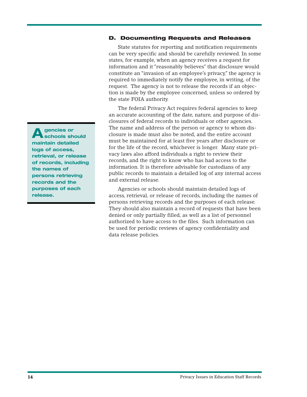#### **D. Documenting Requests and Releases**

State statutes for reporting and notification requirements can be very specific and should be carefully reviewed. In some states, for example, when an agency receives a request for information and it "reasonably believes" that disclosure would constitute an "invasion of an employee's privacy," the agency is required to immediately notify the employee, in writing, of the request. The agency is not to release the records if an objection is made by the employee concerned, unless so ordered by the state FOIA authority.

The federal Privacy Act requires federal agencies to keep an accurate accounting of the date, nature, and purpose of disclosures of federal records to individuals or other agencies. The name and address of the person or agency to whom disclosure is made must also be noted, and the entire account must be maintained for at least five years after disclosure or for the life of the record, whichever is longer. Many state privacy laws also afford individuals a right to review their records, and the right to know who has had access to the information. It is therefore advisable for custodians of any public records to maintain a detailed log of any internal access and external release.

Agencies or schools should maintain detailed logs of access, retrieval, or release of records, including the names of persons retrieving records and the purposes of each release. They should also maintain a record of requests that have been denied or only partially filled, as well as a list of personnel authorized to have access to the files. Such information can be used for periodic reviews of agency confidentiality and data release policies.

**Agencies or schools should maintain detailed logs of access, retrieval, or release of records, including the names of persons retrieving records and the purposes of each release.**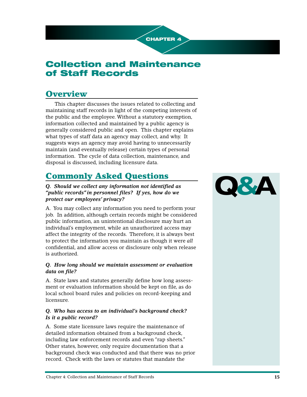

# **Collection and Maintenance of Staff Records**

# **Overview**

This chapter discusses the issues related to collecting and maintaining staff records in light of the competing interests of the public and the employee. Without a statutory exemption, information collected and maintained by a public agency is generally considered public and open. This chapter explains what types of staff data an agency may collect, and why. It suggests ways an agency may avoid having to unnecessarily maintain (and eventually release) certain types of personal information. The cycle of data collection, maintenance, and disposal is discussed, including licensure data.

# **Commonly Asked Questions**

*Q. Should we collect any information not identified as "public records"in personnel files? If yes, how do we protect our employees' privacy?*

A. You may collect any information you need to perform your job. In addition, although certain records might be considered public information, an unintentional disclosure may hurt an individual's employment, while an unauthorized access may affect the integrity of the records. Therefore, it is always best to protect the information you maintain as though it were *all* confidential, and allow access or disclosure only when release is authorized.

#### *Q. How long should we maintain assessment or evaluation data on file?*

A. State laws and statutes generally define how long assessment or evaluation information should be kept on file, as do local school board rules and policies on record-keeping and licensure.

#### *Q. Who has access to an individual's background check? Is it a public record?*

A. Some state licensure laws require the maintenance of detailed information obtained from a background check, including law enforcement records and even "rap sheets." Other states, however, only require documentation that a background check was conducted and that there was no prior record. Check with the laws or statutes that mandate the

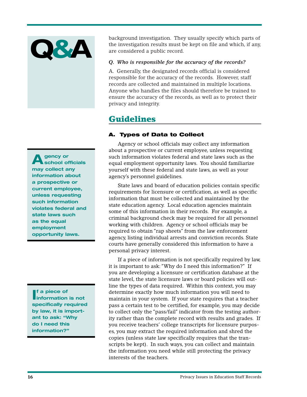

**Agency or school officials may collect any information about a prospective or current employee, unless requesting such information violates federal and state laws such as the equal employment opportunity laws.**

**I information is not f a piece of specifically required by law, it is important to ask: "Why do I need this information?"**

background investigation. They usually specify which parts of the investigation results must be kept on file and which, if any, are considered a public record.

#### *Q. Who is responsible for the accuracy of the records?*

A. Generally, the designated records official is considered responsible for the accuracy of the records. However, staff records are collected and maintained in multiple locations. Anyone who handles the files should therefore be trained to ensure the accuracy of the records, as well as to protect their privacy and integrity.

### **Guidelines**

#### **A. Types of Data to Collect**

Agency or school officials may collect any information about a prospective or current employee, unless requesting such information violates federal and state laws such as the equal employment opportunity laws. You should familiarize yourself with these federal and state laws, as well as your agency's personnel guidelines.

State laws and board of education policies contain specific requirements for licensure or certification, as well as specific information that must be collected and maintained by the state education agency. Local education agencies maintain some of this information in their records. For example, a criminal background check may be required for all personnel working with children. Agency or school officials may be required to obtain "rap sheets" from the law enforcement agency, listing individual arrests and conviction records. State courts have generally considered this information to have a personal privacy interest.

If a piece of information is not specifically required by law, it is important to ask: "Why do I need this information?" If you are developing a licensure or certification database at the state level, the state licensure laws or board policies will outline the types of data required. Within this context, you may determine exactly how much information you will need to maintain in your system. If your state requires that a teacher pass a certain test to be certified, for example, you may decide to collect only the "pass/fail" indicator from the testing authority rather than the complete record with results and grades. If you receive teachers' college transcripts for licensure purposes, you may extract the required information and shred the copies (unless state law specifically requires that the transcripts be kept). In such ways, you can collect and maintain the information you need while still protecting the privacy interests of the teachers.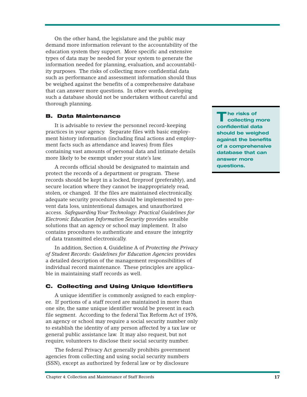On the other hand, the legislature and the public may demand more information relevant to the accountability of the education system they support. More specific and extensive types of data may be needed for your system to generate the information needed for planning, evaluation, and accountability purposes. The risks of collecting more confidential data such as performance and assessment information should thus be weighed against the benefits of a comprehensive database that can answer more questions. In other words, developing such a database should not be undertaken without careful and thorough planning.

#### **B. Data Maintenance**

It is advisable to review the personnel record-keeping practices in your agency. Separate files with basic employment history information (including final actions and employment facts such as attendance and leaves) from files containing vast amounts of personal data and intimate details more likely to be exempt under your state's law.

A records official should be designated to maintain and protect the records of a department or program. These records should be kept in a locked, fireproof (preferably), and secure location where they cannot be inappropriately read, stolen, or changed. If the files are maintained electronically, adequate security procedures should be implemented to prevent data loss, unintentional damages, and unauthorized access. *Safeguarding Your Technology: Practical Guidelines for Electronic Education Information Security* provides sensible solutions that an agency or school may implement. It also contains procedures to authenticate and ensure the integrity of data transmitted electronically.

In addition, Section 4, Guideline A of *Protecting the Privacy of Student Records: Guidelines for Education Agencies* provides a detailed description of the management responsibilities of individual record maintenance. These principles are applicable in maintaining staff records as well.

#### **C. Collecting and Using Unique Identifiers**

A unique identifier is commonly assigned to each employee. If portions of a staff record are maintained in more than one site, the same unique identifier would be present in each file segment. According to the federal Tax Reform Act of 1976, an agency or school may require a social security number only to establish the identity of any person affected by a tax law or general public assistance law. It may also request, but not require, volunteers to disclose their social security number.

The federal Privacy Act generally prohibits government agencies from collecting and using social security numbers (SSN), except as authorized by federal law or by disclosure

**T he risks of collecting more confidential data should be weighed against the benefits of a comprehensive database that can answer more questions.**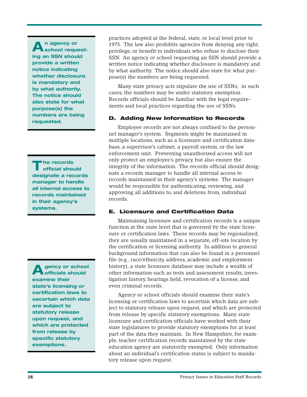**An agency or school requesting an SSN should provide a written notice indicating whether disclosure is mandatory and by what authority. The notice should also state for what purpose(s) the numbers are being requested.**

**T he records official should designate a records manager to handle all internal access to records maintained in their agency's systems.**

**A** gency or school **officials should examine their state's licensing or certification laws to ascertain which data are subject to statutory release upon request, and which are protected from release by specific statutory exemptions.** 

practices adopted at the federal, state, or local level prior to 1975. The law also prohibits agencies from denying any right, privilege, or benefit to individuals who refuse to disclose their SSN. An agency or school requesting an SSN should provide a written notice indicating whether disclosure is mandatory and by what authority. The notice should also state for what purpose(s) the numbers are being requested.

Many state privacy acts stipulate the use of SSNs; in such cases, the numbers may be under statutory exemption. Records officials should be familiar with the legal requirements and local practices regarding the use of SSNs.

#### **D. Adding New Information to Records**

Employee records are not always confined to the personnel manager's system. Segments might be maintained in multiple locations, such as a licensure and certification database, a supervisor's cabinet, a payroll system, or the law enforcement unit. Preventing unauthorized access will not only protect an employee's privacy, but also ensure the integrity of the information. The records official should designate a records manager to handle all internal access to records maintained in their agency's systems. The manager would be responsible for authenticating, reviewing, and approving all additions to, and deletions from, individual records.

#### **E. Licensure and Certification Data**

Maintaining licensure and certification records is a unique function at the state level that is governed by the state licensure or certification laws. These records may be regionalized; they are usually maintained in a separate, off-site location by the certification or licensing authority. In addition to general background information that can also be found in a personnel file (e.g., race/ethnicity, address, academic and employment history), a state licensure database may include a wealth of other information such as tests and assessment results, investigation history, hearings held, revocation of a license, and even criminal records.

Agency or school officials should examine their state's licensing or certification laws to ascertain which data are subject to statutory release upon request, and which are protected from release by specific statutory exemptions. Many state licensure and certification officials have worked with their state legislatures to provide statutory exemptions for at least part of the data they maintain. In New Hampshire, for example, teacher certification records maintained by the state education agency are statutorily exempted. Only information about an individual's certification status is subject to mandatory release upon request.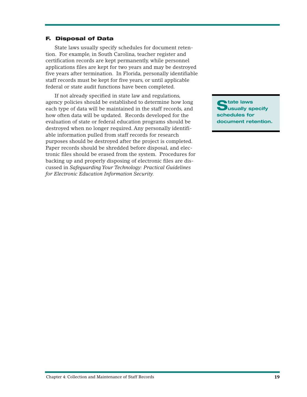#### **F. Disposal of Data**

State laws usually specify schedules for document retention. For example, in South Carolina, teacher register and certification records are kept permanently, while personnel applications files are kept for two years and may be destroyed five years after termination. In Florida, personally identifiable staff records must be kept for five years, or until applicable federal or state audit functions have been completed.

If not already specified in state law and regulations, agency policies should be established to determine how long each type of data will be maintained in the staff records, and how often data will be updated. Records developed for the evaluation of state or federal education programs should be destroyed when no longer required. Any personally identifiable information pulled from staff records for research purposes should be destroyed after the project is completed. Paper records should be shredded before disposal, and electronic files should be erased from the system. Procedures for backing up and properly disposing of electronic files are discussed in *Safeguarding Your Technology: Practical Guidelines for Electronic Education Information Security.*

**State laws usually specify schedules for document retention.**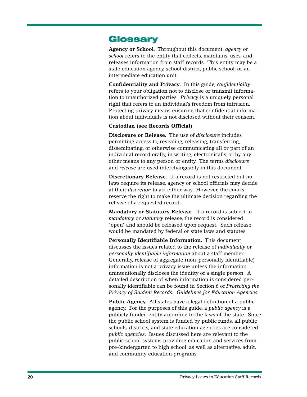### **Glossary**

**Agency or School**. Throughout this document, *agency* or *school* refers to the entity that collects, maintains, uses, and releases information from staff records. This entity may be a state education agency, school district, public school, or an intermediate education unit.

**Confidentiality and Privacy**. In this guide, *confidentiality* refers to your obligation not to disclose or transmit information to unauthorized parties. *Privacy* is a uniquely personal right that refers to an individual's freedom from intrusion. Protecting privacy means ensuring that confidential information about individuals is not disclosed without their consent.

#### **Custodian (see Records Official)**

**Disclosure or Release.** The use of *disclosure* includes permitting access to, revealing, releasing, transferring, disseminating, or otherwise communicating all or part of an individual record orally, in writing, electronically, or by any other means to any person or entity. The terms *disclosure* and *release* are used interchangeably in this document.

**Discretionary Release.** If a record is not restricted but no laws require its release, agency or school officials may decide, at their *discretion* to act either way. However, the courts reserve the right to make the ultimate decision regarding the release of a requested record.

**Mandatory or Statutory Release.** If a record is subject to *mandatory* or *statutory* release, the record is considered "open" and should be released upon request. Such release would be mandated by federal or state laws and statutes.

**Personally Identifiable Information.** This document discusses the issues related to the release of *individually* or *personally identifiable information* about a staff member. Generally, release of aggregate (non-personally identifiable) information is not a privacy issue unless the information unintentionally discloses the identity of a single person. A detailed description of when information is considered personally identifiable can be found in Section 6 of *Protecting the Privacy of Student Records: Guidelines for Education Agencies.*

**Public Agency.** All states have a legal definition of a public agency. For the purposes of this guide, a *public agency* is a publicly funded entity according to the laws of the state. Since the public school system is funded by public funds, all public schools, districts, and state education agencies are considered *public agencies*. Issues discussed here are relevant to the public school systems providing education and services from pre-kindergarten to high school, as well as alternative, adult, and community education programs.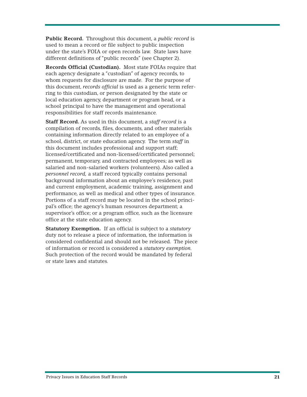**Public Record.** Throughout this document, a *public record* is used to mean a record or file subject to public inspection under the state's FOIA or open records law. State laws have different definitions of "public records" (see Chapter 2).

**Records Official (Custodian).** Most state FOIAs require that each agency designate a "custodian" of agency records, to whom requests for disclosure are made. For the purpose of this document, *records official* is used as a generic term referring to this custodian, or person designated by the state or local education agency, department or program head, or a school principal to have the management and operational responsibilities for staff records maintenance.

**Staff Record.** As used in this document, a *staff record* is a compilation of records, files, documents, and other materials containing information directly related to an employee of a school, district, or state education agency. The term *staff* in this document includes professional and support staff; licensed/certificated and non-licensed/certificated personnel; permanent, temporary, and contracted employees; as well as salaried and non-salaried workers (volunteers). Also called a *personnel record,* a staff record typically contains personal background information about an employee's residence, past and current employment, academic training, assignment and performance, as well as medical and other types of insurance. Portions of a staff record may be located in the school principal's office; the agency's human resources department; a supervisor's office; or a program office, such as the licensure office at the state education agency.

**Statutory Exemption.** If an official is subject to a *statutory* duty not to release a piece of information, the information is considered confidential and should not be released. The piece of information or record is considered a *statutory exemption.* Such protection of the record would be mandated by federal or state laws and statutes.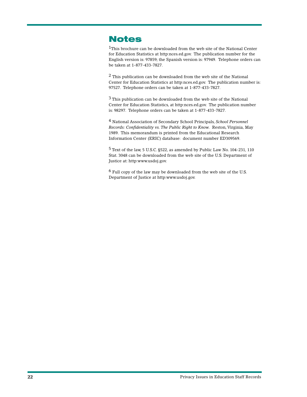## **Notes**

<sup>1</sup>This brochure can be downloaded from the web site of the National Center for Education Statistics at http:nces.ed.gov. The publication number for the English version is: 97859; the Spanish version is: 97949. Telephone orders can be taken at 1-877-433-7827.

2 This publication can be downloaded from the web site of the National Center for Education Statistics at http:nces.ed.gov. The publication number is: 97527. Telephone orders can be taken at 1-877-433-7827.

3 This publication can be downloaded from the web site of the National Center for Education Statistics, at http:nces.ed.gov. The publication number is: 98297. Telephone orders can be taken at 1-877-433-7827.

4 National Association of Secondary School Principals, *School Personnel Records: Confidentiality vs. The Public Right to Know.* Reston, Virginia, May 1989. This memorandum is printed from the Educational Research Information Center (ERIC) database: document number ED309569.

5 Text of the law, 5 U.S.C. §522, as amended by Public Law No. 104-231, 110 Stat. 3048 can be downloaded from the web site of the U.S. Department of Justice at: http:www.usdoj.gov.

6 Full copy of the law may be downloaded from the web site of the U.S. Department of Justice at http:www.usdoj.gov.